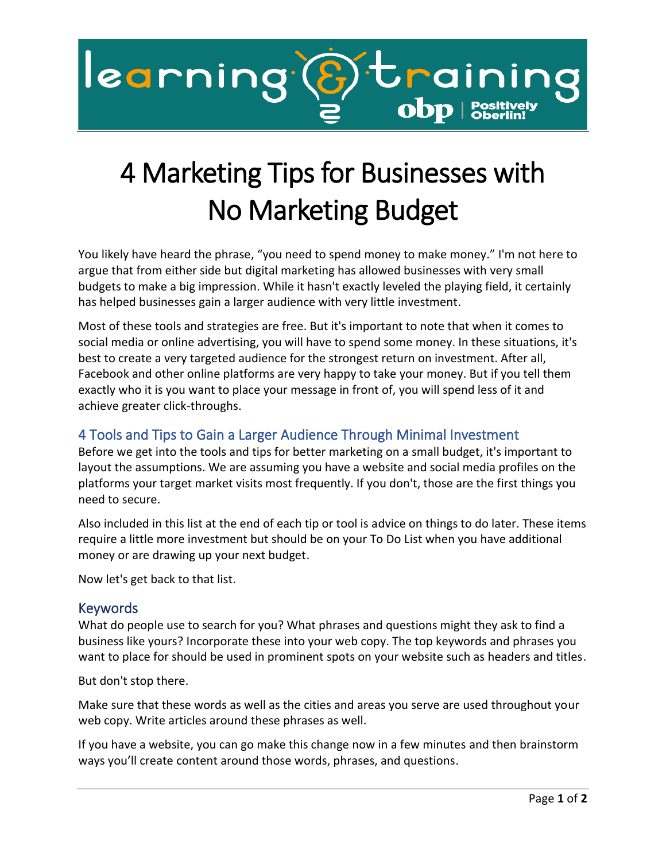

## 4 Marketing Tips for Businesses with No Marketing Budget

You likely have heard the phrase, "you need to spend money to make money." I'm not here to argue that from either side but digital marketing has allowed businesses with very small budgets to make a big impression. While it hasn't exactly leveled the playing field, it certainly has helped businesses gain a larger audience with very little investment.

Most of these tools and strategies are free. But it's important to note that when it comes to social media or online advertising, you will have to spend some money. In these situations, it's best to create a very targeted audience for the strongest return on investment. After all, Facebook and other online platforms are very happy to take your money. But if you tell them exactly who it is you want to place your message in front of, you will spend less of it and achieve greater click-throughs.

## 4 Tools and Tips to Gain a Larger Audience Through Minimal Investment

Before we get into the tools and tips for better marketing on a small budget, it's important to layout the assumptions. We are assuming you have a website and social media profiles on the platforms your target market visits most frequently. If you don't, those are the first things you need to secure.

Also included in this list at the end of each tip or tool is advice on things to do later. These items require a little more investment but should be on your To Do List when you have additional money or are drawing up your next budget.

Now let's get back to that list.

## Keywords

What do people use to search for you? What phrases and questions might they ask to find a business like yours? Incorporate these into your web copy. The top keywords and phrases you want to place for should be used in prominent spots on your website such as headers and titles.

But don't stop there.

Make sure that these words as well as the cities and areas you serve are used throughout your web copy. Write articles around these phrases as well.

If you have a website, you can go make this change now in a few minutes and then brainstorm ways you'll create content around those words, phrases, and questions.